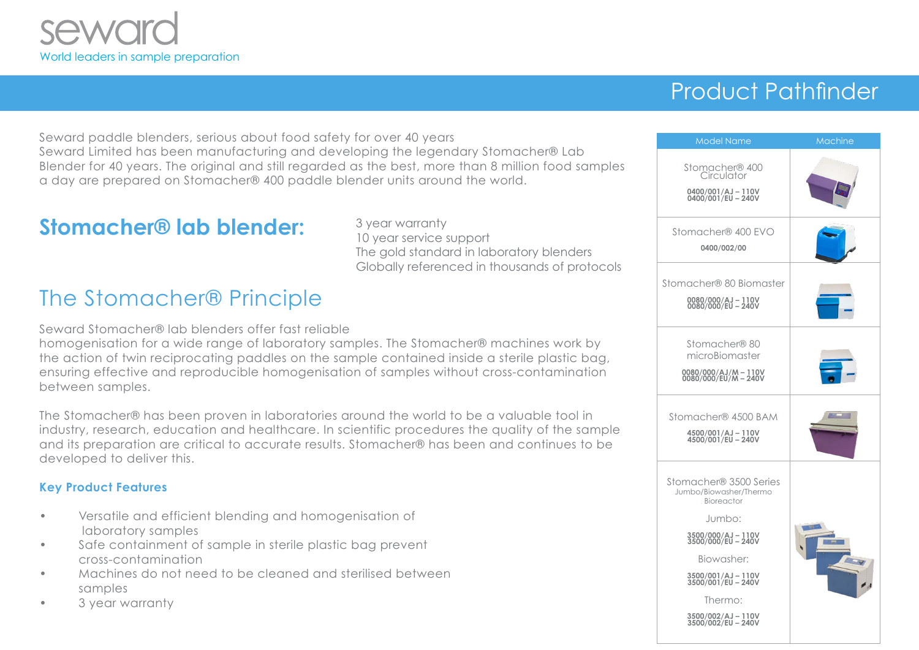

# Product Pathfinder

Seward paddle blenders, serious about food safety for over 40 years Seward Limited has been manufacturing and developing the legendary Stomacher® Lab Blender for 40 years. The original and still regarded as the best, more than 8 million food samples a day are prepared on Stomacher® 400 paddle blender units around the world.

### **Stomacher® lab blender:** 3 year warranty

10 year service support The gold standard in laboratory blenders Globally referenced in thousands of protocols

### The Stomacher® Principle

Seward Stomacher® lab blenders offer fast reliable

homogenisation for a wide range of laboratory samples. The Stomacher® machines work by the action of twin reciprocating paddles on the sample contained inside a sterile plastic bag, ensuring effective and reproducible homogenisation of samples without cross-contamination between samples.

The Stomacher® has been proven in laboratories around the world to be a valuable tool in industry, research, education and healthcare. In scientific procedures the quality of the sample and its preparation are critical to accurate results. Stomacher® has been and continues to be developed to deliver this.

#### **Key Product Features**

- Versatile and efficient blending and homogenisation of laboratory samples
- Safe containment of sample in sterile plastic bag prevent cross-contamination
- Machines do not need to be cleaned and sterilised between samples
- 3 year warranty